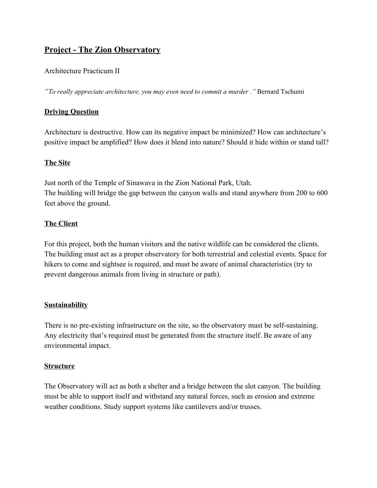# **Project - The Zion Observatory**

## Architecture Practicum II

*"To really appreciate architecture, you may even need to commit a murder ."* Bernard Tschumi

## **Driving Question**

Architecture is destructive. How can its negative impact be minimized? How can architecture's positive impact be amplified? How does it blend into nature? Should it hide within or stand tall?

## **The Site**

Just north of the Temple of Sinawava in the Zion National Park, Utah. The building will bridge the gap between the canyon walls and stand anywhere from 200 to 600 feet above the ground.

## **The Client**

For this project, both the human visitors and the native wildlife can be considered the clients. The building must act as a proper observatory for both terrestrial and celestial events. Space for hikers to come and sightsee is required, and must be aware of animal characteristics (try to prevent dangerous animals from living in structure or path).

## **Sustainability**

There is no pre-existing infrastructure on the site, so the observatory must be self-sustaining. Any electricity that's required must be generated from the structure itself. Be aware of any environmental impact.

## **Structure**

The Observatory will act as both a shelter and a bridge between the slot canyon. The building must be able to support itself and withstand any natural forces, such as erosion and extreme weather conditions. Study support systems like cantilevers and/or trusses.